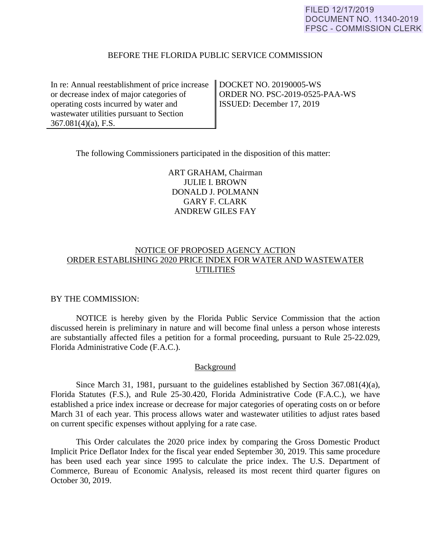## BEFORE THE FLORIDA PUBLIC SERVICE COMMISSION

In re: Annual reestablishment of price increase or decrease index of major categories of operating costs incurred by water and wastewater utilities pursuant to Section 367.081(4)(a), F.S.

DOCKET NO. 20190005-WS ORDER NO. PSC-2019-0525-PAA-WS ISSUED: December 17, 2019

The following Commissioners participated in the disposition of this matter:

ART GRAHAM, Chairman JULIE I. BROWN DONALD J. POLMANN GARY F. CLARK ANDREW GILES FAY

# NOTICE OF PROPOSED AGENCY ACTION ORDER ESTABLISHING 2020 PRICE INDEX FOR WATER AND WASTEWATER **UTILITIES**

# BY THE COMMISSION:

 NOTICE is hereby given by the Florida Public Service Commission that the action discussed herein is preliminary in nature and will become final unless a person whose interests are substantially affected files a petition for a formal proceeding, pursuant to Rule 25-22.029, Florida Administrative Code (F.A.C.).

# Background

 Since March 31, 1981, pursuant to the guidelines established by Section 367.081(4)(a), Florida Statutes (F.S.), and Rule 25-30.420, Florida Administrative Code (F.A.C.), we have established a price index increase or decrease for major categories of operating costs on or before March 31 of each year. This process allows water and wastewater utilities to adjust rates based on current specific expenses without applying for a rate case.

 This Order calculates the 2020 price index by comparing the Gross Domestic Product Implicit Price Deflator Index for the fiscal year ended September 30, 2019. This same procedure has been used each year since 1995 to calculate the price index. The U.S. Department of Commerce, Bureau of Economic Analysis, released its most recent third quarter figures on October 30, 2019.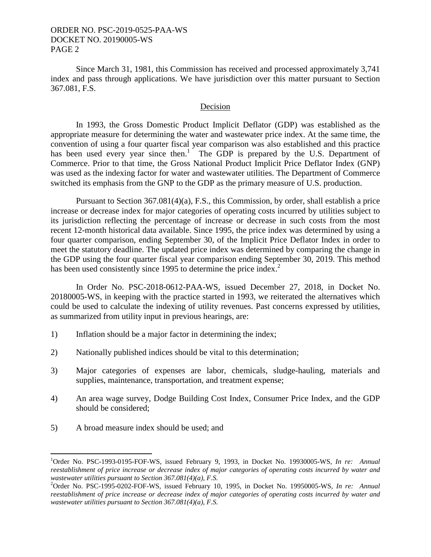Since March 31, 1981, this Commission has received and processed approximately 3,741 index and pass through applications. We have jurisdiction over this matter pursuant to Section 367.081, F.S.

## Decision

In 1993, the Gross Domestic Product Implicit Deflator (GDP) was established as the appropriate measure for determining the water and wastewater price index. At the same time, the convention of using a four quarter fiscal year comparison was also established and this practice has been used every year since then.<sup>1</sup> The GDP is prepared by the U.S. Department of Commerce. Prior to that time, the Gross National Product Implicit Price Deflator Index (GNP) was used as the indexing factor for water and wastewater utilities. The Department of Commerce switched its emphasis from the GNP to the GDP as the primary measure of U.S. production.

 Pursuant to Section 367.081(4)(a), F.S., this Commission, by order, shall establish a price increase or decrease index for major categories of operating costs incurred by utilities subject to its jurisdiction reflecting the percentage of increase or decrease in such costs from the most recent 12-month historical data available. Since 1995, the price index was determined by using a four quarter comparison, ending September 30, of the Implicit Price Deflator Index in order to meet the statutory deadline. The updated price index was determined by comparing the change in the GDP using the four quarter fiscal year comparison ending September 30, 2019. This method has been used consistently since 1995 to determine the price index.<sup>2</sup>

 In Order No. PSC-2018-0612-PAA-WS, issued December 27, 2018, in Docket No. 20180005-WS, in keeping with the practice started in 1993, we reiterated the alternatives which could be used to calculate the indexing of utility revenues. Past concerns expressed by utilities, as summarized from utility input in previous hearings, are:

- 1) Inflation should be a major factor in determining the index;
- 2) Nationally published indices should be vital to this determination;
- 3) Major categories of expenses are labor, chemicals, sludge-hauling, materials and supplies, maintenance, transportation, and treatment expense;
- 4) An area wage survey, Dodge Building Cost Index, Consumer Price Index, and the GDP should be considered;
- 5) A broad measure index should be used; and

<u>.</u>

<sup>1</sup> Order No. PSC-1993-0195-FOF-WS, issued February 9, 1993, in Docket No. 19930005-WS, *In re: Annual reestablishment of price increase or decrease index of major categories of operating costs incurred by water and wastewater utilities pursuant to Section 367.081(4)(a), F.S.* <sup>2</sup>

<sup>&</sup>lt;sup>2</sup>Order No. PSC-1995-0202-FOF-WS, issued February 10, 1995, in Docket No. 19950005-WS, *In re: Annual reestablishment of price increase or decrease index of major categories of operating costs incurred by water and wastewater utilities pursuant to Section 367.081(4)(a), F.S.*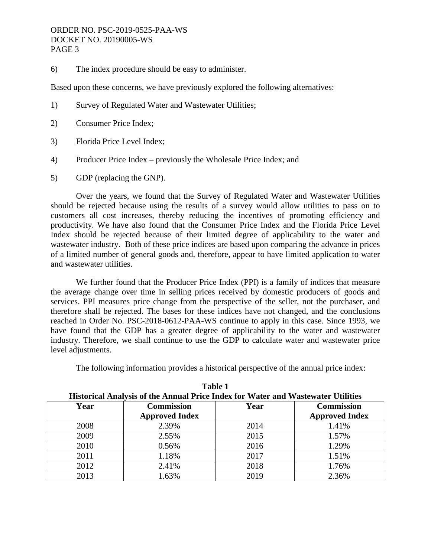6) The index procedure should be easy to administer.

Based upon these concerns, we have previously explored the following alternatives:

- 1) Survey of Regulated Water and Wastewater Utilities;
- 2) Consumer Price Index;
- 3) Florida Price Level Index;
- 4) Producer Price Index previously the Wholesale Price Index; and
- 5) GDP (replacing the GNP).

 Over the years, we found that the Survey of Regulated Water and Wastewater Utilities should be rejected because using the results of a survey would allow utilities to pass on to customers all cost increases, thereby reducing the incentives of promoting efficiency and productivity. We have also found that the Consumer Price Index and the Florida Price Level Index should be rejected because of their limited degree of applicability to the water and wastewater industry. Both of these price indices are based upon comparing the advance in prices of a limited number of general goods and, therefore, appear to have limited application to water and wastewater utilities.

 We further found that the Producer Price Index (PPI) is a family of indices that measure the average change over time in selling prices received by domestic producers of goods and services. PPI measures price change from the perspective of the seller, not the purchaser, and therefore shall be rejected. The bases for these indices have not changed, and the conclusions reached in Order No. PSC-2018-0612-PAA-WS continue to apply in this case. Since 1993, we have found that the GDP has a greater degree of applicability to the water and wastewater industry. Therefore, we shall continue to use the GDP to calculate water and wastewater price level adjustments.

The following information provides a historical perspective of the annual price index:

| <b>Historical Analysis of the Annual Price Index for Water and Wastewater Utilities</b> |                       |      |                       |
|-----------------------------------------------------------------------------------------|-----------------------|------|-----------------------|
| Year                                                                                    | <b>Commission</b>     | Year | <b>Commission</b>     |
|                                                                                         | <b>Approved Index</b> |      | <b>Approved Index</b> |
| 2008                                                                                    | 2.39%                 | 2014 | 1.41%                 |
| 2009                                                                                    | 2.55%                 | 2015 | 1.57%                 |
| 2010                                                                                    | 0.56%                 | 2016 | 1.29%                 |
| 2011                                                                                    | 1.18%                 | 2017 | 1.51%                 |
| 2012                                                                                    | 2.41%                 | 2018 | 1.76%                 |
| 2013                                                                                    | .63%                  | 2019 | 2.36%                 |

**Table 1**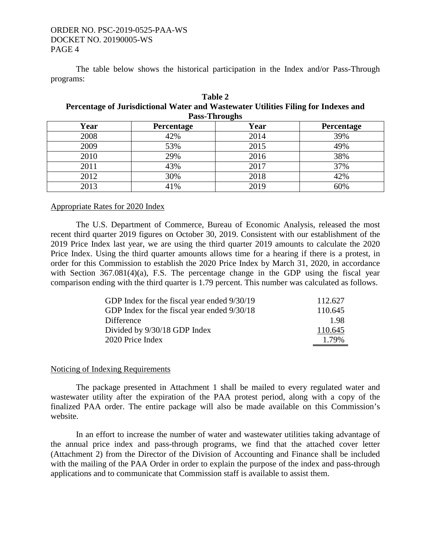The table below shows the historical participation in the Index and/or Pass-Through programs:

| Table 2                                                                            |  |  |  |  |
|------------------------------------------------------------------------------------|--|--|--|--|
| Percentage of Jurisdictional Water and Wastewater Utilities Filing for Indexes and |  |  |  |  |
| <b>Pass-Throughs</b>                                                               |  |  |  |  |

| Year | <b>Percentage</b> | Year | Percentage |
|------|-------------------|------|------------|
| 2008 | 42%               | 2014 | 39%        |
| 2009 | 53%               | 2015 | 49%        |
| 2010 | 29%               | 2016 | 38%        |
| 2011 | 43%               | 2017 | 37%        |
| 2012 | 30%               | 2018 | 42%        |
| 2013 | 41%               | 2019 | 60%        |

## Appropriate Rates for 2020 Index

The U.S. Department of Commerce, Bureau of Economic Analysis, released the most recent third quarter 2019 figures on October 30, 2019. Consistent with our establishment of the 2019 Price Index last year, we are using the third quarter 2019 amounts to calculate the 2020 Price Index. Using the third quarter amounts allows time for a hearing if there is a protest, in order for this Commission to establish the 2020 Price Index by March 31, 2020, in accordance with Section 367.081(4)(a), F.S. The percentage change in the GDP using the fiscal year comparison ending with the third quarter is 1.79 percent. This number was calculated as follows.

| GDP Index for the fiscal year ended 9/30/19 | 112.627 |
|---------------------------------------------|---------|
| GDP Index for the fiscal year ended 9/30/18 | 110.645 |
| Difference                                  | 198     |
| Divided by 9/30/18 GDP Index                | 110.645 |
| 2020 Price Index                            | 1.79%   |

# Noticing of Indexing Requirements

The package presented in Attachment 1 shall be mailed to every regulated water and wastewater utility after the expiration of the PAA protest period, along with a copy of the finalized PAA order. The entire package will also be made available on this Commission's website.

 In an effort to increase the number of water and wastewater utilities taking advantage of the annual price index and pass-through programs, we find that the attached cover letter (Attachment 2) from the Director of the Division of Accounting and Finance shall be included with the mailing of the PAA Order in order to explain the purpose of the index and pass-through applications and to communicate that Commission staff is available to assist them.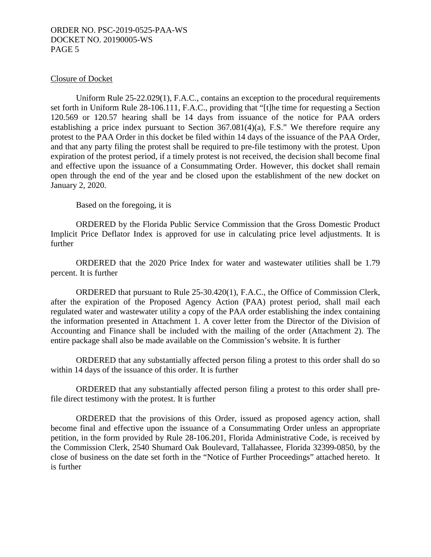## Closure of Docket

Uniform Rule 25-22.029(1), F.A.C., contains an exception to the procedural requirements set forth in Uniform Rule 28-106.111, F.A.C., providing that "[t]he time for requesting a Section 120.569 or 120.57 hearing shall be 14 days from issuance of the notice for PAA orders establishing a price index pursuant to Section 367.081(4)(a), F.S." We therefore require any protest to the PAA Order in this docket be filed within 14 days of the issuance of the PAA Order, and that any party filing the protest shall be required to pre-file testimony with the protest. Upon expiration of the protest period, if a timely protest is not received, the decision shall become final and effective upon the issuance of a Consummating Order. However, this docket shall remain open through the end of the year and be closed upon the establishment of the new docket on January 2, 2020.

Based on the foregoing, it is

 ORDERED by the Florida Public Service Commission that the Gross Domestic Product Implicit Price Deflator Index is approved for use in calculating price level adjustments. It is further

 ORDERED that the 2020 Price Index for water and wastewater utilities shall be 1.79 percent. It is further

 ORDERED that pursuant to Rule 25-30.420(1), F.A.C., the Office of Commission Clerk, after the expiration of the Proposed Agency Action (PAA) protest period, shall mail each regulated water and wastewater utility a copy of the PAA order establishing the index containing the information presented in Attachment 1. A cover letter from the Director of the Division of Accounting and Finance shall be included with the mailing of the order (Attachment 2). The entire package shall also be made available on the Commission's website. It is further

 ORDERED that any substantially affected person filing a protest to this order shall do so within 14 days of the issuance of this order. It is further

 ORDERED that any substantially affected person filing a protest to this order shall prefile direct testimony with the protest. It is further

 ORDERED that the provisions of this Order, issued as proposed agency action, shall become final and effective upon the issuance of a Consummating Order unless an appropriate petition, in the form provided by Rule 28-106.201, Florida Administrative Code, is received by the Commission Clerk, 2540 Shumard Oak Boulevard, Tallahassee, Florida 32399-0850, by the close of business on the date set forth in the "Notice of Further Proceedings" attached hereto. It is further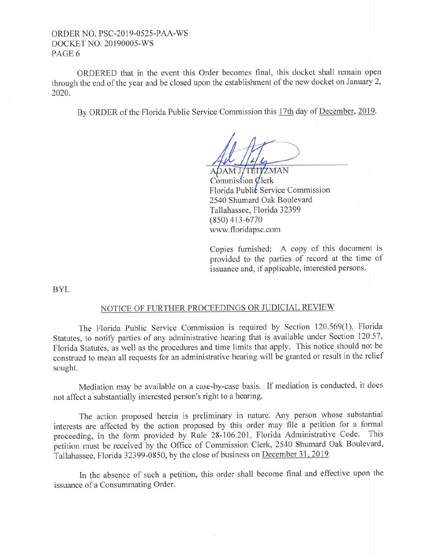ORDERED that in the event this Order becomes final, this docket shall remain open through the end of the year and be closed upon the establishment of the new docket on January 2, 2020.

By ORDER of the Florida Public Service Commission this 17th day of December, 2019.

ADAM J/TÉIVZMAN  $Commission$   $Q$ lerk Florida Public Service Commission 2540 Shumard Oak Boulevard Tallahassee, Florida 32399 (850) 413-6770 www.floridapsc.com

Copies furnished: A copy of this document is provided to the parties of record at the time of issuance and, if applicable, interested persons.

BYL

# NOTICE OF FURTHER PROCEEDINGS OR JUDICIAL REVIEW

The Florida Public Service Commission is required by Section 120.569(1), Florida Statutes, to notify parties of any administrative hearing that is available under Section 120.57, Florida Statutes, as well as the procedures and time limits that apply. This notice should not be construed to mean all requests for an administrative hearing will be granted or result in the relief sought.

Mediation may be available on a case-by-case basis. If mediation is conducted, it does not affect a substantially interested person's right to a hearing.

The action proposed herein is preliminary in nature. Any person whose substantial interests are affected by the action proposed by this order may file a petition for a formal proceeding, in the form provided by Rule 28-106.201, Florida Administrative Code. This petition must be received by the Office of Commission Clerk, 2540 Shumard Oak Boulevard, Tallahassee, Florida 32399-0850, by the close of business on December 3 l, 2019.

In the absence of such a petition, this order shall become final and effective upon the issuance of a Consummating Order.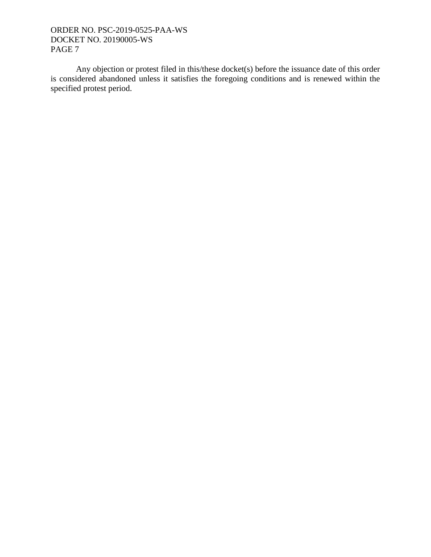Any objection or protest filed in this/these docket(s) before the issuance date of this order is considered abandoned unless it satisfies the foregoing conditions and is renewed within the specified protest period.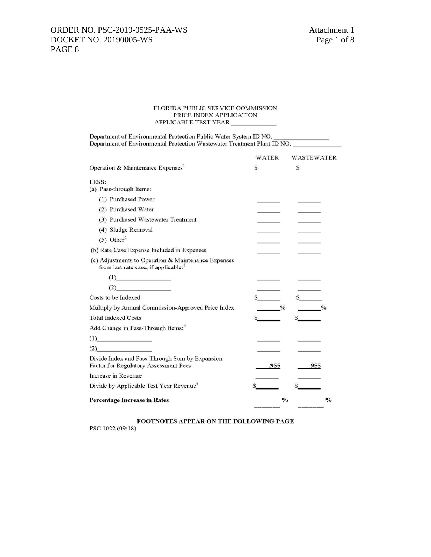#### FLORIDA PUBLIC SERVICE COMMISSION PRICE INDEX APPLICATION APPLICABLE TEST YEAR  $\_$

| Department of Environmental Protection Public Water System ID NO.<br>Department of Environmental Protection Wastewater Treatment Plant ID NO. |                        |                   |
|-----------------------------------------------------------------------------------------------------------------------------------------------|------------------------|-------------------|
|                                                                                                                                               | WATER                  | <b>WASTEWATER</b> |
| Operation & Maintenance Expenses <sup>1</sup>                                                                                                 | $\mathbb{S}$           | $\mathcal{S}$     |
| LESS:<br>(a) Pass-through Items:                                                                                                              |                        |                   |
| (1) Purchased Power                                                                                                                           |                        |                   |
| (2) Purchased Water                                                                                                                           |                        |                   |
| (3) Purchased Wastewater Treatment                                                                                                            |                        |                   |
| (4) Sludge Removal                                                                                                                            |                        |                   |
| $(5)$ Other <sup>2</sup>                                                                                                                      |                        |                   |
| (b) Rate Case Expense Included in Expenses                                                                                                    |                        |                   |
| (c) Adjustments to Operation & Maintenance Expenses<br>from last rate case, if applicable. <sup>3</sup>                                       |                        |                   |
| (1)                                                                                                                                           |                        |                   |
| (2)                                                                                                                                           |                        |                   |
| Costs to be Indexed                                                                                                                           | $\mathbb{S}$           | $\mathbb{S}$      |
| Multiply by Annual Commission-Approved Price Index                                                                                            | $\sqrt[0]{\mathbf{0}}$ | $\frac{0}{6}$     |
| <b>Total Indexed Costs</b>                                                                                                                    |                        |                   |
| Add Change in Pass-Through Items: <sup>4</sup>                                                                                                |                        |                   |
| (1)                                                                                                                                           |                        |                   |
| (2)                                                                                                                                           |                        |                   |
| Divide Index and Pass-Through Sum by Expansion<br>Factor for Regulatory Assessment Fees                                                       | .955                   | .955              |
| Increase in Revenue                                                                                                                           |                        |                   |
| Divide by Applicable Test Year Revenue <sup>5</sup>                                                                                           |                        |                   |
| <b>Percentage Increase in Rates</b>                                                                                                           | $\frac{0}{0}$          | $\frac{0}{0}$     |

## FOOTNOTES APPEAR ON THE FOLLOWING PAGE

PSC 1022 (09/18)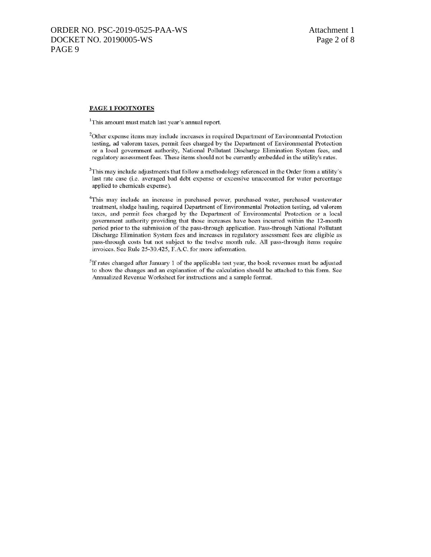#### PAGE 1 FOOTNOTES

<sup>1</sup>This amount must match last year's annual report.

<sup>2</sup>Other expense items may include increases in required Department of Environmental Protection testing, ad valorem taxes, permit fees charged by the Department of Environmental Protection or a local government authority, National Pollutant Discharge Elimination System fees, and regulatory assessment fees. These items should not be currently embedded in the utility's rates.

<sup>3</sup>This may include adjustments that follow a methodology referenced in the Order from a utility's last rate case (i.e. averaged bad debt expense or excessive unaccounted for water percentage applied to chemicals expense).

<sup>4</sup>This may include an increase in purchased power, purchased water, purchased wastewater treatment, sludge hauling, required Department of Environmental Protection testing, ad valorem taxes, and permit fees charged by the Department of Environmental Protection or a local government authority providing that those increases have been incurred within the 12-month period prior to the submission of the pass-through application. Pass-through National Pollutant Discharge Elimination System fees and increases in regulatory assessment fees are eligible as pass-through costs but not subject to the twelve month rule. All pass-through items require invoices. See Rule 25-30.425, F.A.C. for more information.

<sup>5</sup>If rates changed after January 1 of the applicable test year, the book revenues must be adjusted to show the changes and an explanation of the calculation should be attached to this form. See Annualized Revenue Worksheet for instructions and a sample format.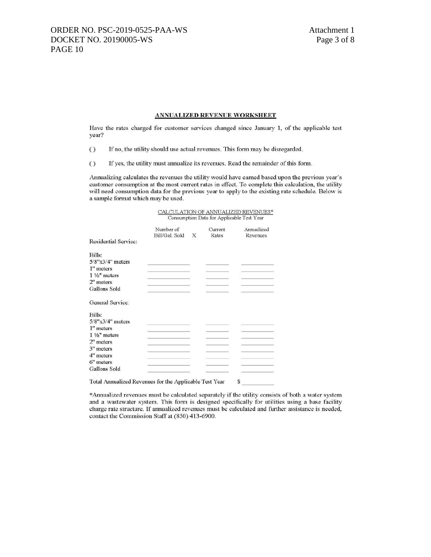#### **ANNUALIZED REVENUE WORKSHEET**

Have the rates charged for customer services changed since January 1, of the applicable test year?

- If no, the utility should use actual revenues. This form may be disregarded.  $\left( \right)$
- $\bigcirc$ If yes, the utility must annualize its revenues. Read the remainder of this form.

Annualizing calculates the revenues the utility would have earned based upon the previous year's customer consumption at the most current rates in effect. To complete this calculation, the utility will need consumption data for the previous year to apply to the existing rate schedule. Below is a sample format which may be used.

| CALCULATION OF ANNUALIZED REVENUES*       |  |
|-------------------------------------------|--|
| Consumption Data for Applicable Test Year |  |

|                                                        | Number of<br>Bill/Gal. Sold | X | Current<br>Rates | Annualized<br>Revenues |
|--------------------------------------------------------|-----------------------------|---|------------------|------------------------|
| Residential Service:                                   |                             |   |                  |                        |
| Bills:                                                 |                             |   |                  |                        |
| $5/8$ " $\times$ 3/4" meters                           |                             |   |                  |                        |
| 1" meters                                              |                             |   |                  |                        |
| $1\frac{1}{2}$ meters                                  |                             |   |                  |                        |
| 2" meters                                              |                             |   |                  |                        |
| Gallons Sold                                           |                             |   |                  |                        |
| General Service:                                       |                             |   |                  |                        |
| Bills:                                                 |                             |   |                  |                        |
| $5/8" \times 3/4"$ meters                              |                             |   |                  |                        |
| 1" meters                                              |                             |   |                  |                        |
| $1\frac{1}{2}$ meters                                  |                             |   |                  |                        |
| 2" meters                                              |                             |   |                  |                        |
| 3" meters                                              |                             |   |                  |                        |
| 4" meters                                              |                             |   |                  |                        |
| 6" meters                                              |                             |   |                  |                        |
| Gallons Sold                                           |                             |   |                  |                        |
| Total Annualized Revenues for the Applicable Test Year |                             |   |                  | S                      |

\*Annualized revenues must be calculated separately if the utility consists of both a water system and a wastewater system. This form is designed specifically for utilities using a base facility charge rate structure. If annualized revenues must be calculated and further assistance is needed, contact the Commission Staff at (850) 413-6900.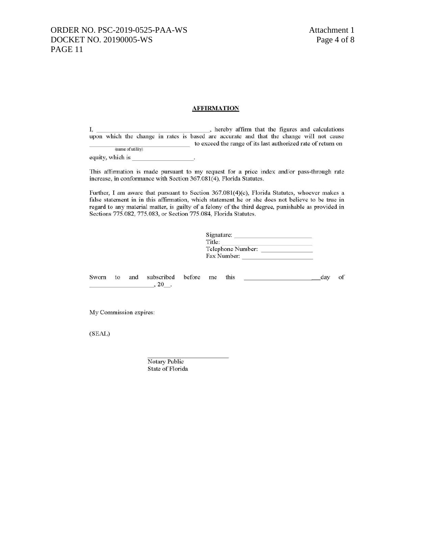## **AFFIRMATION**

I. , hereby affirm that the figures and calculations upon which the change in rates is based are accurate and that the change will not cause to exceed the range of its last authorized rate of return on (name of utility)

equity, which is

This affirmation is made pursuant to my request for a price index and/or pass-through rate increase, in conformance with Section 367.081(4), Florida Statutes.

Further, I am aware that pursuant to Section 367.081(4)(c), Florida Statutes, whoever makes a false statement in in this affirmation, which statement he or she does not believe to be true in regard to any material matter, is guilty of a felony of the third degree, punishable as provided in Sections 775.082, 775.083, or Section 775.084, Florida Statutes.

| Title:            |  |
|-------------------|--|
|                   |  |
| Telephone Number: |  |
| Fax Number:       |  |

subscribed before me Sworn to and this day of  $, 20$ .

My Commission expires:

(SEAL)

Notary Public State of Florida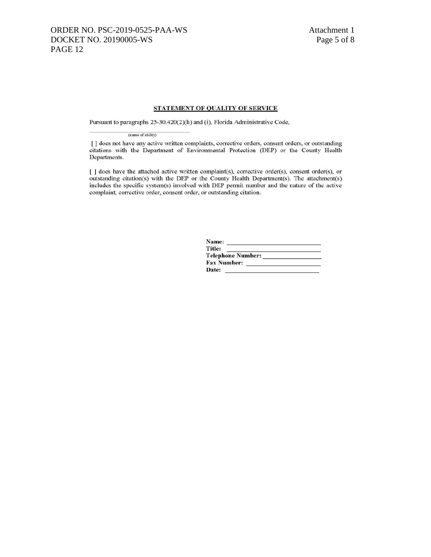## STATEMENT OF QUALITY OF SERVICE

Pursuant to paragraphs 25-30.420(2)(h) and (i), Florida Administrative Code,

(name of utility)

[] does not have any active written complaints, corrective orders, consent orders, or outstanding citations with the Department of Environmental Protection (DEP) or the County Health Departments.

[ ] does have the attached active written complaint(s), corrective order(s), consent order(s), or outstanding citation(s) with the DEP or the County Health Department(s). The attachment(s) includes the specific system(s) involved with DEP permit number and the nature of the active complaint, corrective order, consent order, or outstanding citation.

| Name:              |  |
|--------------------|--|
| Title:             |  |
| Telephone Number:  |  |
| <b>Fax Number:</b> |  |
| Date:              |  |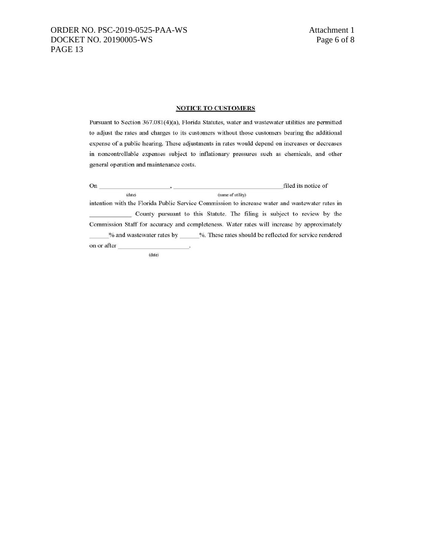# ORDER NO. PSC-2019-0525-PAA-WS Attachment 1 DOCKET NO. 20190005-WS Page 6 of 8 PAGE 13

## **NOTICE TO CUSTOMERS**

Pursuant to Section 367.081(4)(a), Florida Statutes, water and wastewater utilities are permitted to adjust the rates and charges to its customers without those customers bearing the additional expense of a public hearing. These adjustments in rates would depend on increases or decreases in noncontrollable expenses subject to inflationary pressures such as chemicals, and other general operation and maintenance costs.

 $On$ filed its notice of (date) (name of utility)

intention with the Florida Public Service Commission to increase water and wastewater rates in County pursuant to this Statute. The filing is subject to review by the Commission Staff for accuracy and completeness. Water rates will increase by approximately % and wastewater rates by \_\_\_\_\_%. These rates should be reflected for service rendered on or after

(date)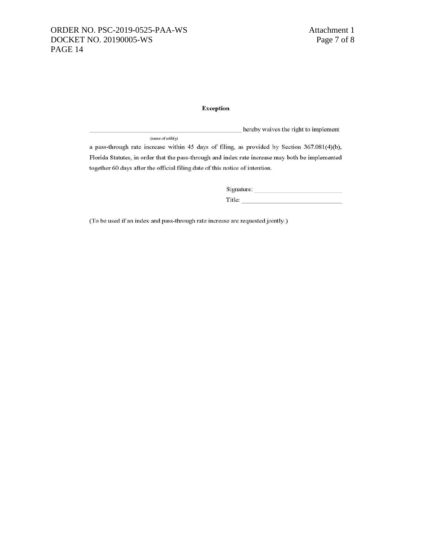## **Exception**

hereby waives the right to implement (name of utility)

a pass-through rate increase within 45 days of filing, as provided by Section 367.081(4)(b), Florida Statutes, in order that the pass-through and index rate increase may both be implemented together 60 days after the official filing date of this notice of intention.

> Title: The contract of the contract of the contract of the contract of the contract of the contract of the contract of the contract of the contract of the contract of the contract of the contract of the contract of the con

(To be used if an index and pass-through rate increase are requested jointly.)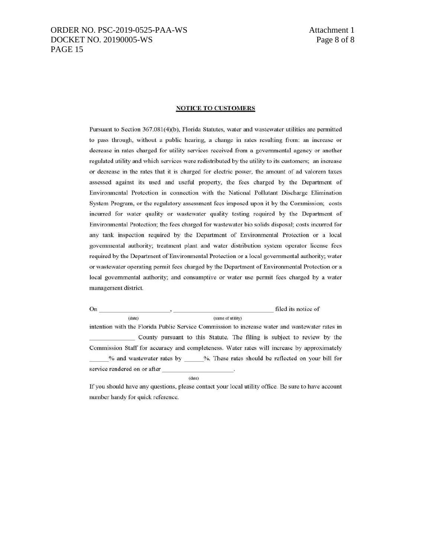## ORDER NO. PSC-2019-0525-PAA-WS Attachment 1 DOCKET NO. 20190005-WS Page 8 of 8 PAGE 15

#### **NOTICE TO CUSTOMERS**

Pursuant to Section 367.081(4)(b), Florida Statutes, water and wastewater utilities are permitted to pass through, without a public hearing, a change in rates resulting from: an increase or decrease in rates charged for utility services received from a governmental agency or another regulated utility and which services were redistributed by the utility to its customers; an increase or decrease in the rates that it is charged for electric power, the amount of ad valorem taxes assessed against its used and useful property, the fees charged by the Department of Environmental Protection in connection with the National Pollutant Discharge Elimination System Program, or the regulatory assessment fees imposed upon it by the Commission; costs incurred for water quality or wastewater quality testing required by the Department of Environmental Protection; the fees charged for wastewater bio solids disposal; costs incurred for any tank inspection required by the Department of Environmental Protection or a local governmental authority; treatment plant and water distribution system operator license fees required by the Department of Environmental Protection or a local governmental authority; water or wastewater operating permit fees charged by the Department of Environmental Protection or a local governmental authority; and consumptive or water use permit fees charged by a water management district.

filed its notice of  $(data)$ (name of utility) intention with the Florida Public Service Commission to increase water and wastewater rates in

County pursuant to this Statute. The filing is subject to review by the Commission Staff for accuracy and completeness. Water rates will increase by approximately % and wastewater rates by %. These rates should be reflected on your bill for service rendered on or after

 $(date)$ 

If you should have any questions, please contact your local utility office. Be sure to have account number handy for quick reference.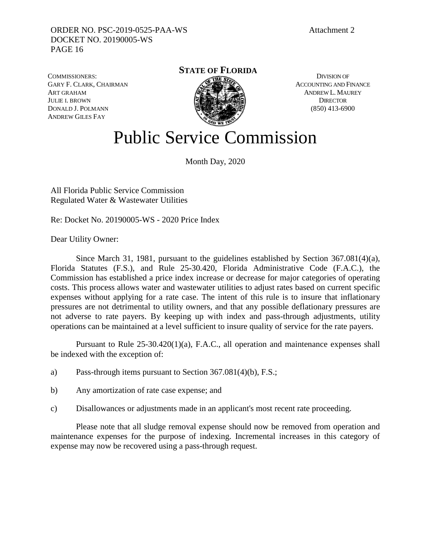COMMISSIONERS: GARY F. CLARK, CHAIRMAN ART GRAHAM JULIE I. BROWN DONALD J. POLMANN ANDREW GILES FAY

**STATE OF FLORIDA**



DIVISION OF ACCOUNTING AND FINANCE ANDREW L. MAUREY **DIRECTOR** (850) 413-6900

# Public Service Commission

Month Day, 2020

All Florida Public Service Commission Regulated Water & Wastewater Utilities

Re: Docket No. 20190005-WS - 2020 Price Index

Dear Utility Owner:

 Since March 31, 1981, pursuant to the guidelines established by Section 367.081(4)(a), Florida Statutes (F.S.), and Rule 25-30.420, Florida Administrative Code (F.A.C.), the Commission has established a price index increase or decrease for major categories of operating costs. This process allows water and wastewater utilities to adjust rates based on current specific expenses without applying for a rate case. The intent of this rule is to insure that inflationary pressures are not detrimental to utility owners, and that any possible deflationary pressures are not adverse to rate payers. By keeping up with index and pass-through adjustments, utility operations can be maintained at a level sufficient to insure quality of service for the rate payers.

 Pursuant to Rule 25-30.420(1)(a), F.A.C., all operation and maintenance expenses shall be indexed with the exception of:

- a) Pass-through items pursuant to Section 367.081(4)(b), F.S.;
- b) Any amortization of rate case expense; and
- c) Disallowances or adjustments made in an applicant's most recent rate proceeding.

 Please note that all sludge removal expense should now be removed from operation and maintenance expenses for the purpose of indexing. Incremental increases in this category of expense may now be recovered using a pass-through request.